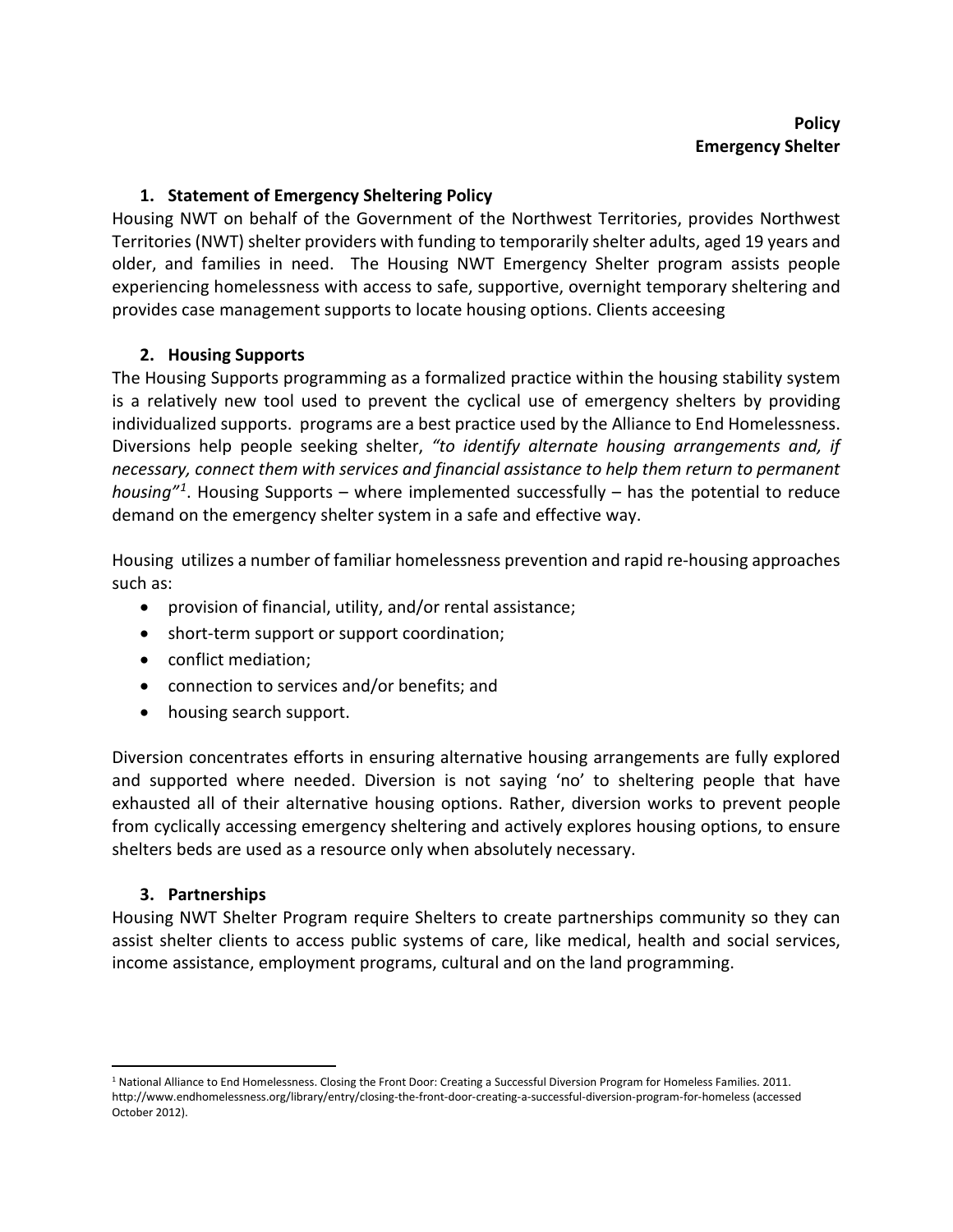### **1. Statement of Emergency Sheltering Policy**

Housing NWT on behalf of the Government of the Northwest Territories, provides Northwest Territories (NWT) shelter providers with funding to temporarily shelter adults, aged 19 years and older, and families in need.The Housing NWT Emergency Shelter program assists people experiencing homelessness with access to safe, supportive, overnight temporary sheltering and provides case management supports to locate housing options. Clients acceesing

### **2. Housing Supports**

The Housing Supports programming as a formalized practice within the housing stability system is a relatively new tool used to prevent the cyclical use of emergency shelters by providing individualized supports. programs are a best practice used by the Alliance to End Homelessness. Diversions help people seeking shelter, *"to identify alternate housing arrangements and, if necessary, connect them with services and financial assistance to help them return to permanent housing"[1](#page-0-0)*. Housing Supports – where implemented successfully – has the potential to reduce demand on the emergency shelter system in a safe and effective way.

Housing utilizes a number of familiar homelessness prevention and rapid re-housing approaches such as:

- provision of financial, utility, and/or rental assistance;
- short-term support or support coordination;
- conflict mediation;
- connection to services and/or benefits; and
- housing search support.

Diversion concentrates efforts in ensuring alternative housing arrangements are fully explored and supported where needed. Diversion is not saying 'no' to sheltering people that have exhausted all of their alternative housing options. Rather, diversion works to prevent people from cyclically accessing emergency sheltering and actively explores housing options, to ensure shelters beds are used as a resource only when absolutely necessary.

#### **3. Partnerships**

Housing NWT Shelter Program require Shelters to create partnerships community so they can assist shelter clients to access public systems of care, like medical, health and social services, income assistance, employment programs, cultural and on the land programming.

<span id="page-0-0"></span><sup>1</sup> National Alliance to End Homelessness. Closing the Front Door: Creating a Successful Diversion Program for Homeless Families. 2011. http://www.endhomelessness.org/library/entry/closing-the-front-door-creating-a-successful-diversion-program-for-homeless (accessed October 2012).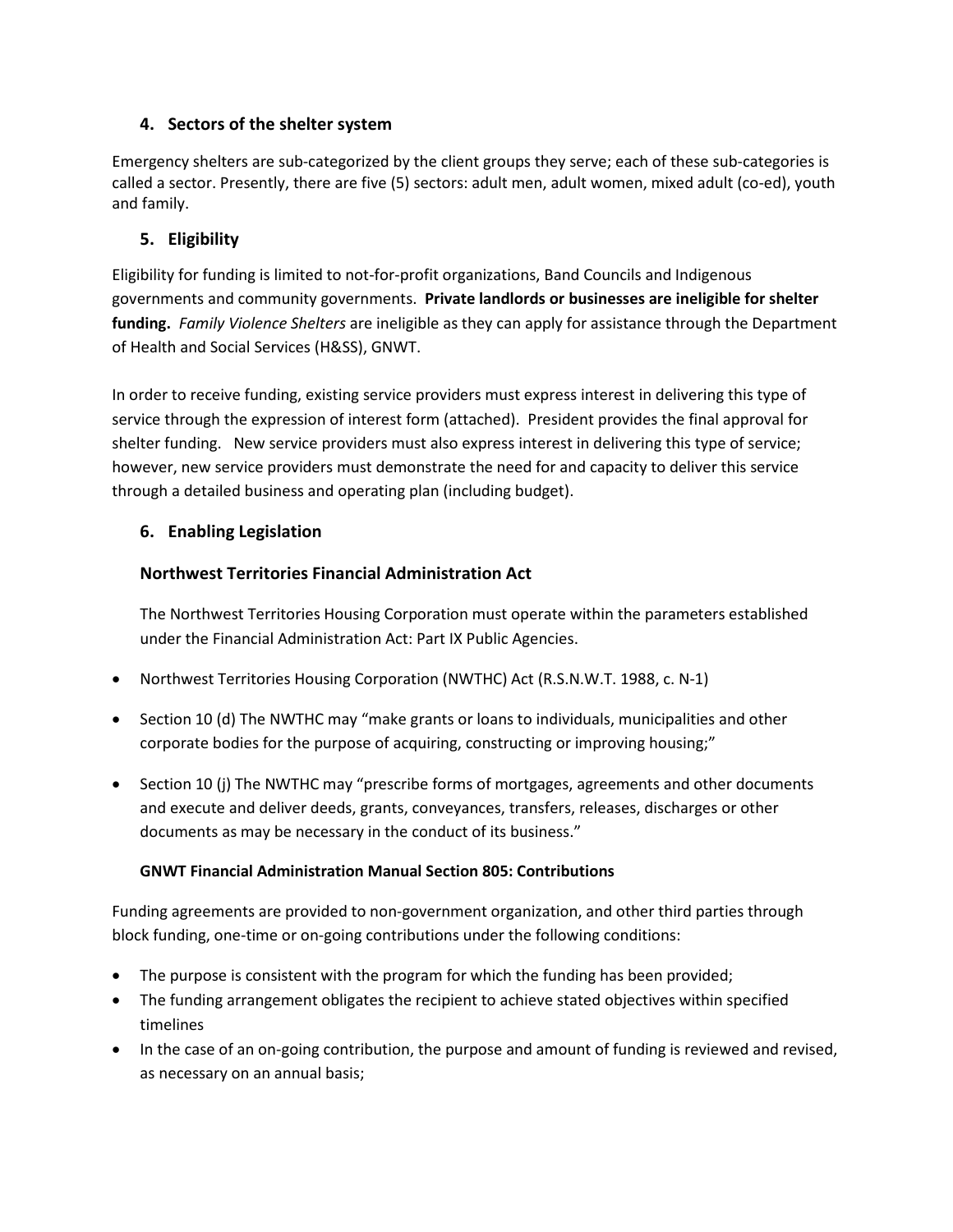#### **4. Sectors of the shelter system**

Emergency shelters are sub-categorized by the client groups they serve; each of these sub-categories is called a sector. Presently, there are five (5) sectors: adult men, adult women, mixed adult (co-ed), youth and family.

#### **5. Eligibility**

Eligibility for funding is limited to not-for-profit organizations, Band Councils and Indigenous governments and community governments. **Private landlords or businesses are ineligible for shelter funding.** *Family Violence Shelters* are ineligible as they can apply for assistance through the Department of Health and Social Services (H&SS), GNWT.

In order to receive funding, existing service providers must express interest in delivering this type of service through the expression of interest form (attached). President provides the final approval for shelter funding. New service providers must also express interest in delivering this type of service; however, new service providers must demonstrate the need for and capacity to deliver this service through a detailed business and operating plan (including budget).

#### **6. Enabling Legislation**

#### **Northwest Territories Financial Administration Act**

The Northwest Territories Housing Corporation must operate within the parameters established under the Financial Administration Act: Part IX Public Agencies.

- Northwest Territories Housing Corporation (NWTHC) Act (R.S.N.W.T. 1988, c. N-1)
- Section 10 (d) The NWTHC may "make grants or loans to individuals, municipalities and other corporate bodies for the purpose of acquiring, constructing or improving housing;"
- Section 10 (j) The NWTHC may "prescribe forms of mortgages, agreements and other documents and execute and deliver deeds, grants, conveyances, transfers, releases, discharges or other documents as may be necessary in the conduct of its business."

#### **GNWT Financial Administration Manual Section 805: Contributions**

Funding agreements are provided to non-government organization, and other third parties through block funding, one-time or on-going contributions under the following conditions:

- The purpose is consistent with the program for which the funding has been provided;
- The funding arrangement obligates the recipient to achieve stated objectives within specified timelines
- In the case of an on-going contribution, the purpose and amount of funding is reviewed and revised, as necessary on an annual basis;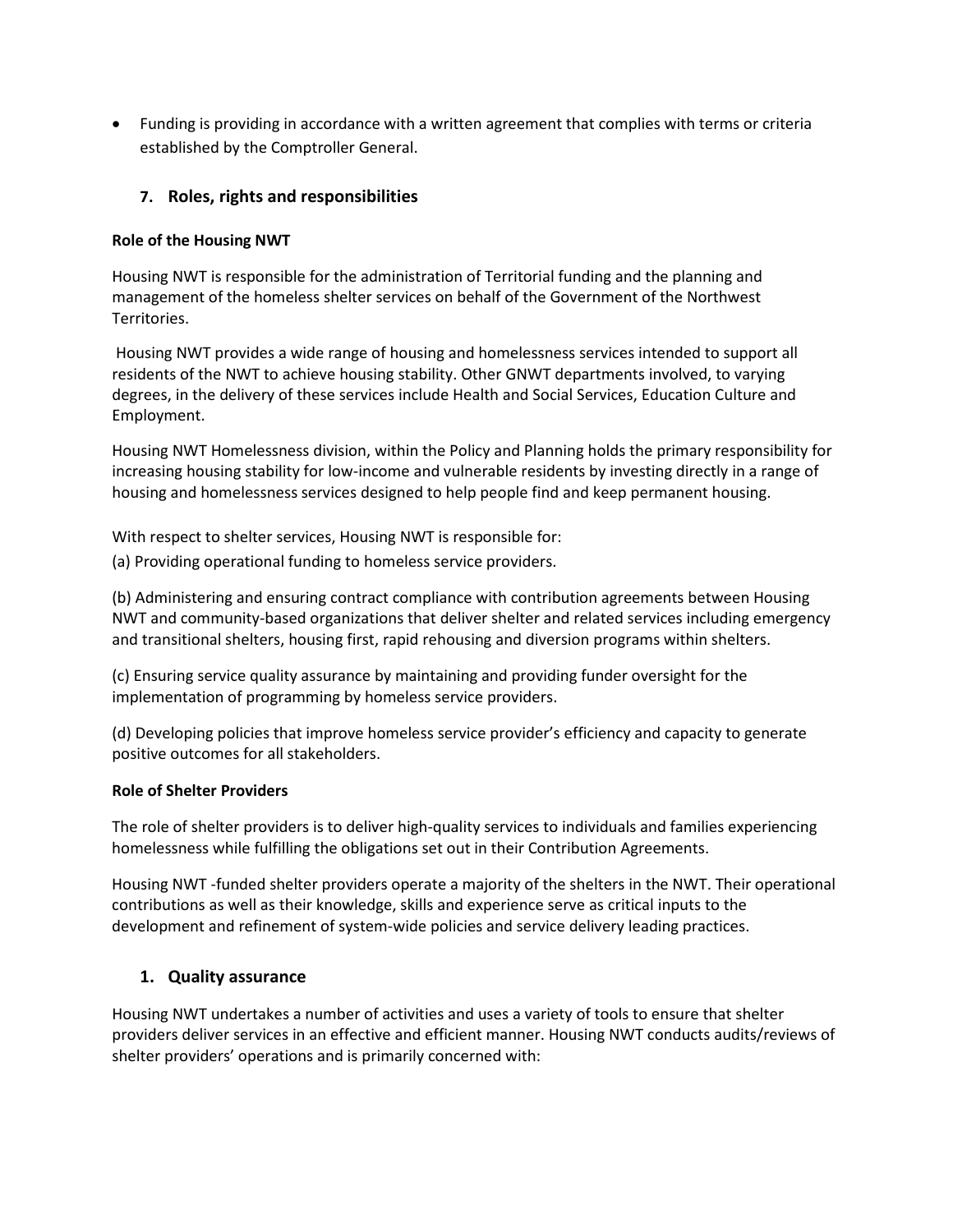• Funding is providing in accordance with a written agreement that complies with terms or criteria established by the Comptroller General.

#### **7. Roles, rights and responsibilities**

#### **Role of the Housing NWT**

Housing NWT is responsible for the administration of Territorial funding and the planning and management of the homeless shelter services on behalf of the Government of the Northwest Territories.

Housing NWT provides a wide range of housing and homelessness services intended to support all residents of the NWT to achieve housing stability. Other GNWT departments involved, to varying degrees, in the delivery of these services include Health and Social Services, Education Culture and Employment.

Housing NWT Homelessness division, within the Policy and Planning holds the primary responsibility for increasing housing stability for low-income and vulnerable residents by investing directly in a range of housing and homelessness services designed to help people find and keep permanent housing.

With respect to shelter services, Housing NWT is responsible for:

(a) Providing operational funding to homeless service providers.

(b) Administering and ensuring contract compliance with contribution agreements between Housing NWT and community-based organizations that deliver shelter and related services including emergency and transitional shelters, housing first, rapid rehousing and diversion programs within shelters.

(c) Ensuring service quality assurance by maintaining and providing funder oversight for the implementation of programming by homeless service providers.

(d) Developing policies that improve homeless service provider's efficiency and capacity to generate positive outcomes for all stakeholders.

#### **Role of Shelter Providers**

The role of shelter providers is to deliver high-quality services to individuals and families experiencing homelessness while fulfilling the obligations set out in their Contribution Agreements.

Housing NWT -funded shelter providers operate a majority of the shelters in the NWT. Their operational contributions as well as their knowledge, skills and experience serve as critical inputs to the development and refinement of system-wide policies and service delivery leading practices.

#### **1. Quality assurance**

Housing NWT undertakes a number of activities and uses a variety of tools to ensure that shelter providers deliver services in an effective and efficient manner. Housing NWT conducts audits/reviews of shelter providers' operations and is primarily concerned with: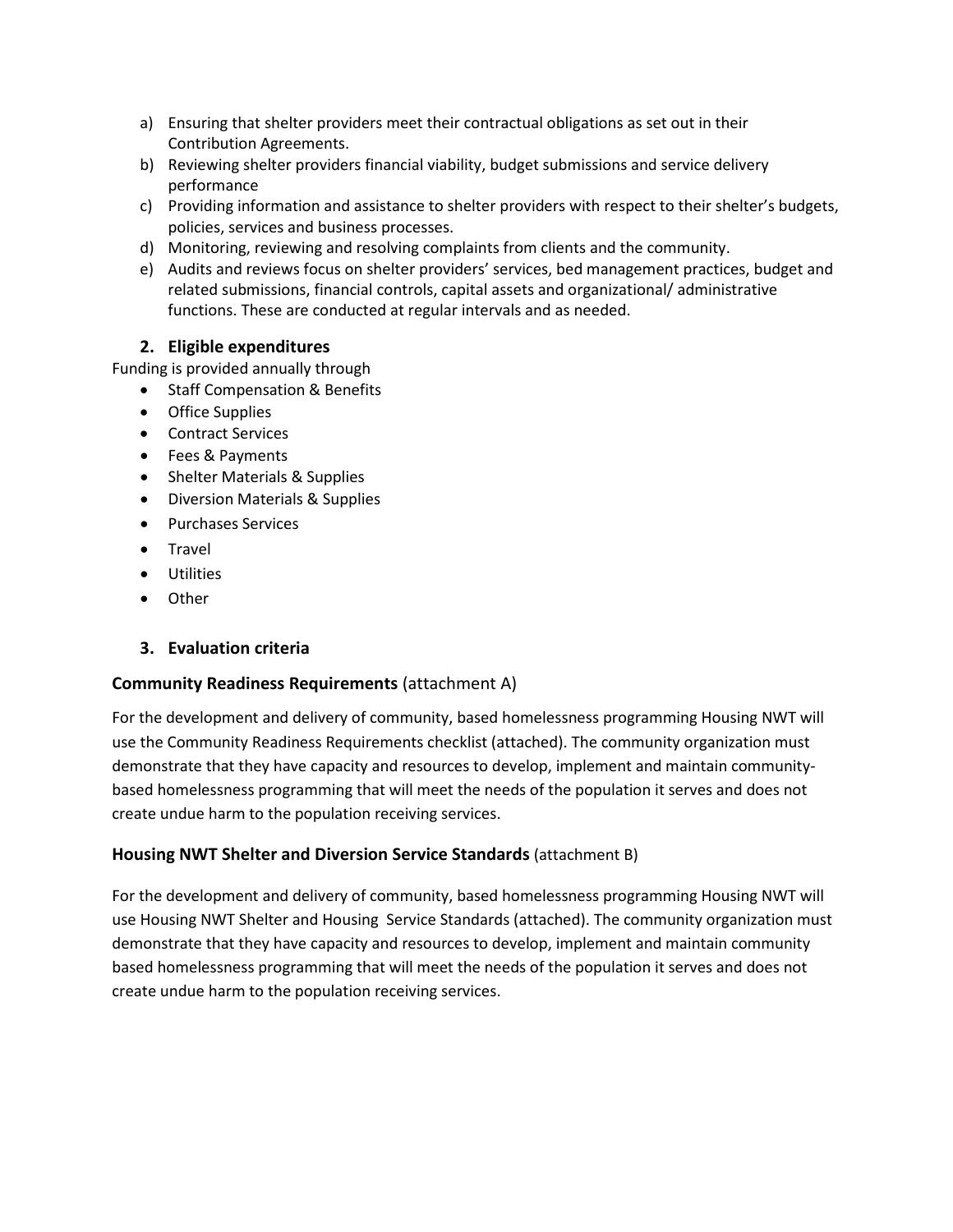- a) Ensuring that shelter providers meet their contractual obligations as set out in their Contribution Agreements.
- b) Reviewing shelter providers financial viability, budget submissions and service delivery performance
- c) Providing information and assistance to shelter providers with respect to their shelter's budgets, policies, services and business processes.
- d) Monitoring, reviewing and resolving complaints from clients and the community.
- e) Audits and reviews focus on shelter providers' services, bed management practices, budget and related submissions, financial controls, capital assets and organizational/ administrative functions. These are conducted at regular intervals and as needed.

### **2. Eligible expenditures**

Funding is provided annually through

- Staff Compensation & Benefits
- Office Supplies
- Contract Services
- Fees & Payments
- Shelter Materials & Supplies
- Diversion Materials & Supplies
- Purchases Services
- Travel
- Utilities
- Other

#### **3. Evaluation criteria**

#### **Community Readiness Requirements** (attachment A)

For the development and delivery of community, based homelessness programming Housing NWT will use the Community Readiness Requirements checklist (attached). The community organization must demonstrate that they have capacity and resources to develop, implement and maintain communitybased homelessness programming that will meet the needs of the population it serves and does not create undue harm to the population receiving services.

#### **Housing NWT Shelter and Diversion Service Standards** (attachment B)

For the development and delivery of community, based homelessness programming Housing NWT will use Housing NWT Shelter and Housing Service Standards (attached). The community organization must demonstrate that they have capacity and resources to develop, implement and maintain community based homelessness programming that will meet the needs of the population it serves and does not create undue harm to the population receiving services.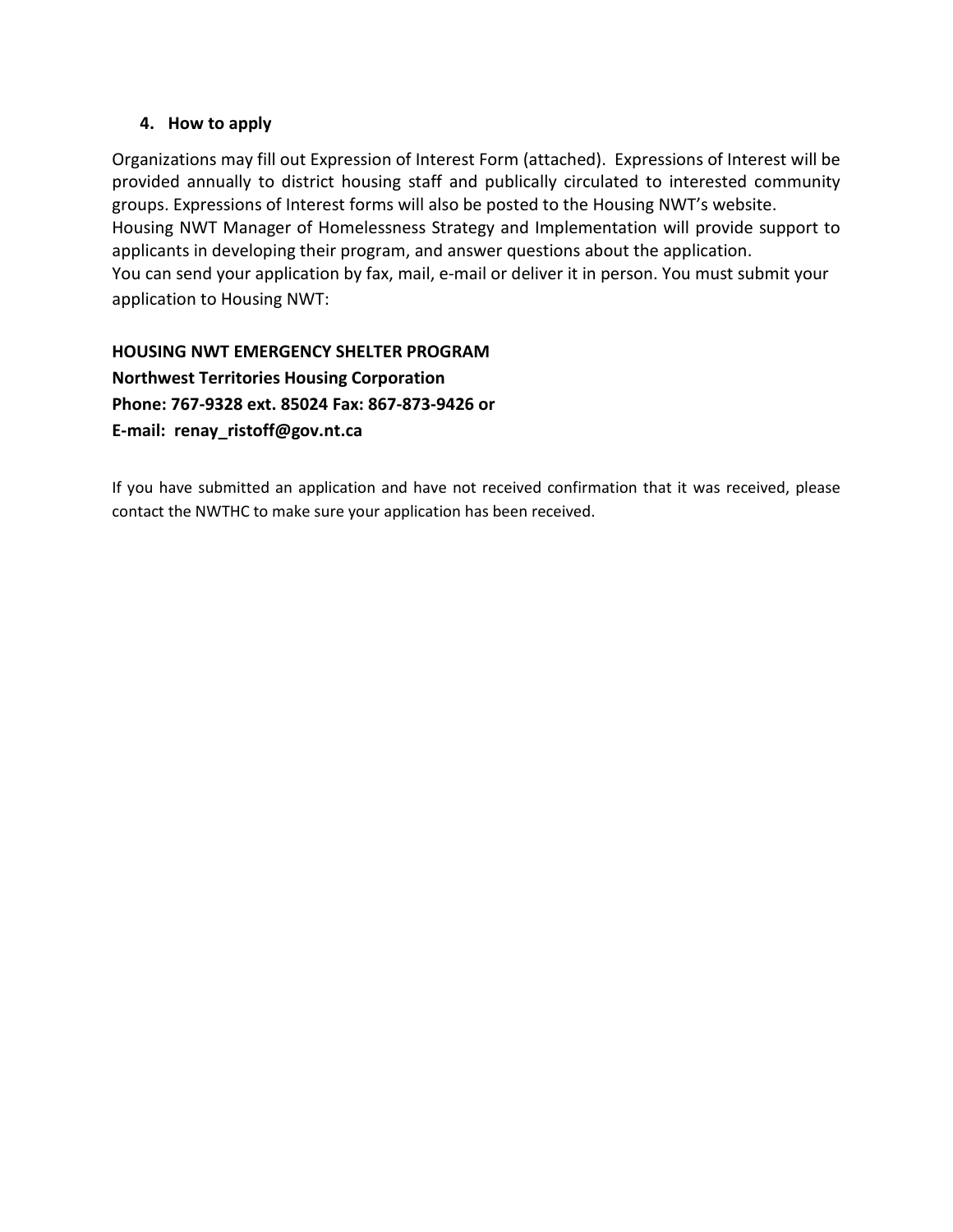#### **4. How to apply**

Organizations may fill out Expression of Interest Form (attached). Expressions of Interest will be provided annually to district housing staff and publically circulated to interested community groups. Expressions of Interest forms will also be posted to the Housing NWT's website. Housing NWT Manager of Homelessness Strategy and Implementation will provide support to applicants in developing their program, and answer questions about the application. You can send your application by fax, mail, e-mail or deliver it in person. You must submit your application to Housing NWT:

**HOUSING NWT EMERGENCY SHELTER PROGRAM Northwest Territories Housing Corporation Phone: 767-9328 ext. 85024 Fax: 867-873-9426 or E-mail: renay\_ristoff@gov.nt.ca**

If you have submitted an application and have not received confirmation that it was received, please contact the NWTHC to make sure your application has been received.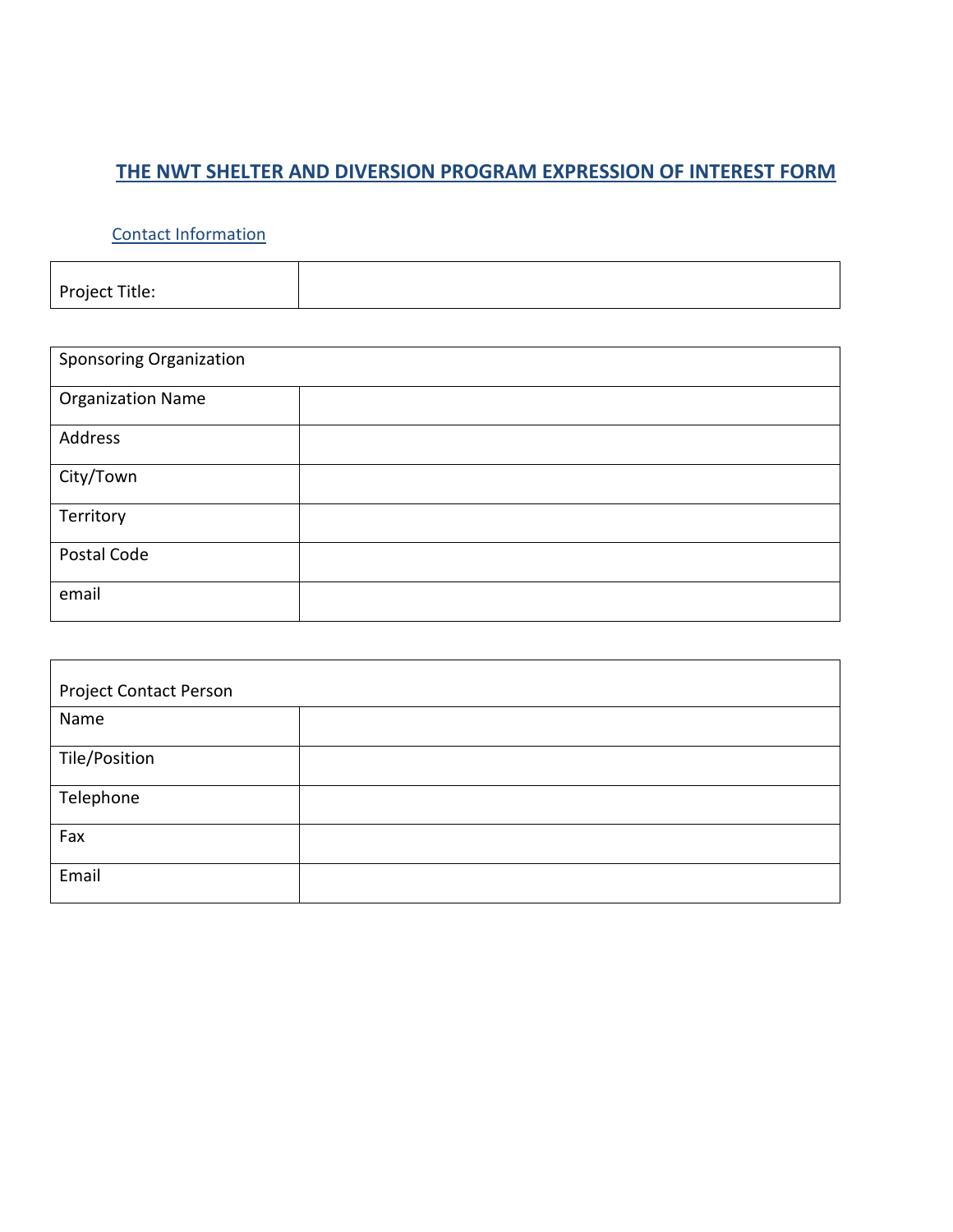# **THE NWT SHELTER AND DIVERSION PROGRAM EXPRESSION OF INTEREST FORM**

### Contact Information

Project Title:

| <b>Sponsoring Organization</b> |  |  |  |  |  |
|--------------------------------|--|--|--|--|--|
| <b>Organization Name</b>       |  |  |  |  |  |
| Address                        |  |  |  |  |  |
| City/Town                      |  |  |  |  |  |
| Territory                      |  |  |  |  |  |
| Postal Code                    |  |  |  |  |  |
| email                          |  |  |  |  |  |

| <b>Project Contact Person</b> |  |  |  |  |  |
|-------------------------------|--|--|--|--|--|
| Name                          |  |  |  |  |  |
|                               |  |  |  |  |  |
| Tile/Position                 |  |  |  |  |  |
| Telephone                     |  |  |  |  |  |
| Fax                           |  |  |  |  |  |
|                               |  |  |  |  |  |
| Email                         |  |  |  |  |  |
|                               |  |  |  |  |  |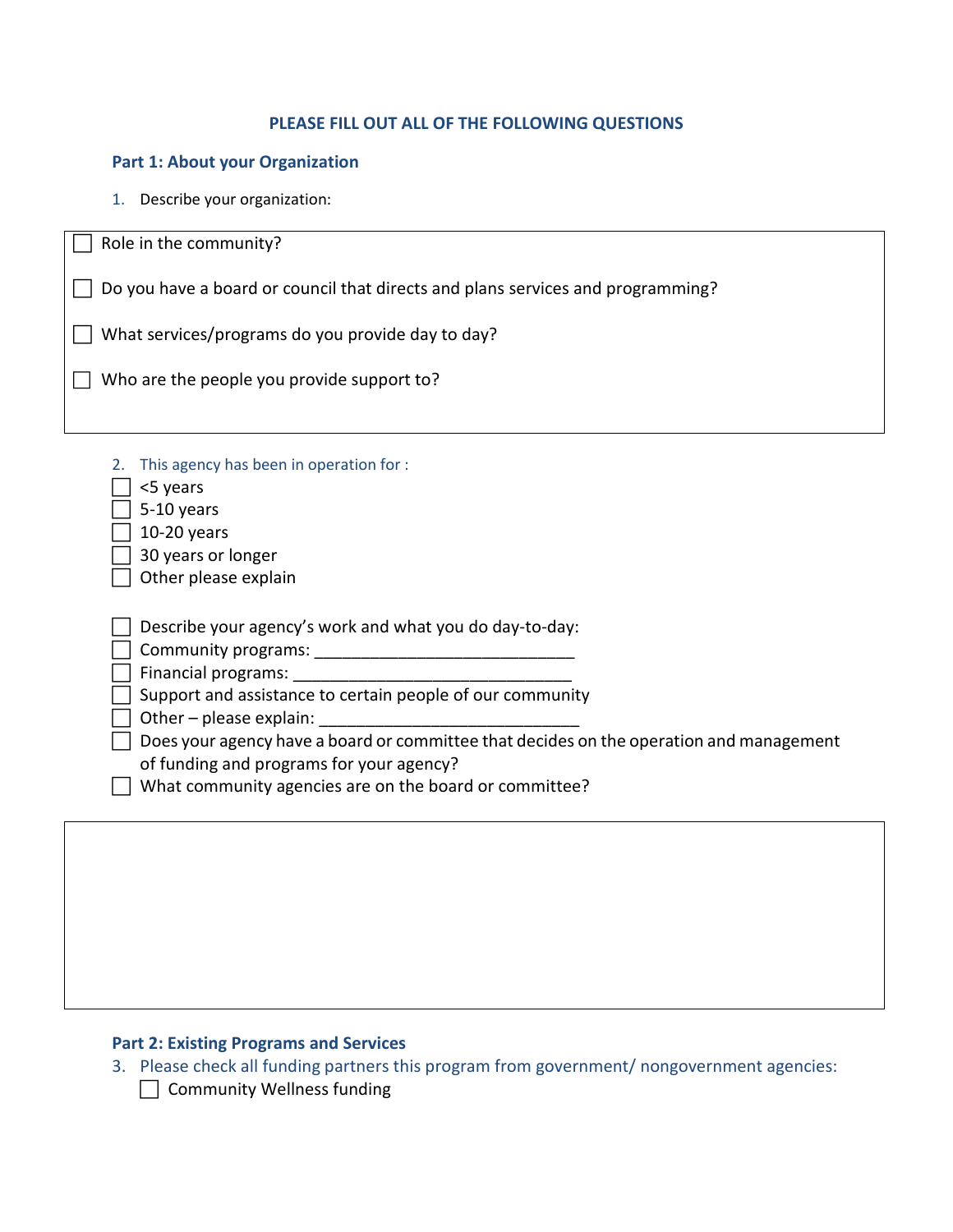### **PLEASE FILL OUT ALL OF THE FOLLOWING QUESTIONS**

#### **Part 1: About your Organization**

1. Describe your organization:

| Role in the community?                                                                                                                                                                                                                                                                                                                                                                                                                                                                                                                                                                                               |
|----------------------------------------------------------------------------------------------------------------------------------------------------------------------------------------------------------------------------------------------------------------------------------------------------------------------------------------------------------------------------------------------------------------------------------------------------------------------------------------------------------------------------------------------------------------------------------------------------------------------|
| Do you have a board or council that directs and plans services and programming?                                                                                                                                                                                                                                                                                                                                                                                                                                                                                                                                      |
| What services/programs do you provide day to day?                                                                                                                                                                                                                                                                                                                                                                                                                                                                                                                                                                    |
| Who are the people you provide support to?                                                                                                                                                                                                                                                                                                                                                                                                                                                                                                                                                                           |
|                                                                                                                                                                                                                                                                                                                                                                                                                                                                                                                                                                                                                      |
| This agency has been in operation for :<br>2.<br><5 years<br>5-10 years<br>10-20 years<br>30 years or longer<br>Other please explain<br>Describe your agency's work and what you do day-to-day:<br>Financial programs: The contract of the contract of the contract of the contract of the contract of the contract of the contract of the contract of the contract of the contract of the contract of the contract of the contra<br>Support and assistance to certain people of our community<br>Other - please explain:<br>Does your agency have a board or committee that decides on the operation and management |
| of funding and programs for your agency?<br>What community agencies are on the board or committee?                                                                                                                                                                                                                                                                                                                                                                                                                                                                                                                   |
|                                                                                                                                                                                                                                                                                                                                                                                                                                                                                                                                                                                                                      |
|                                                                                                                                                                                                                                                                                                                                                                                                                                                                                                                                                                                                                      |
|                                                                                                                                                                                                                                                                                                                                                                                                                                                                                                                                                                                                                      |

### **Part 2: Existing Programs and Services**

- 3. Please check all funding partners this program from government/ nongovernment agencies:
	- Community Wellness funding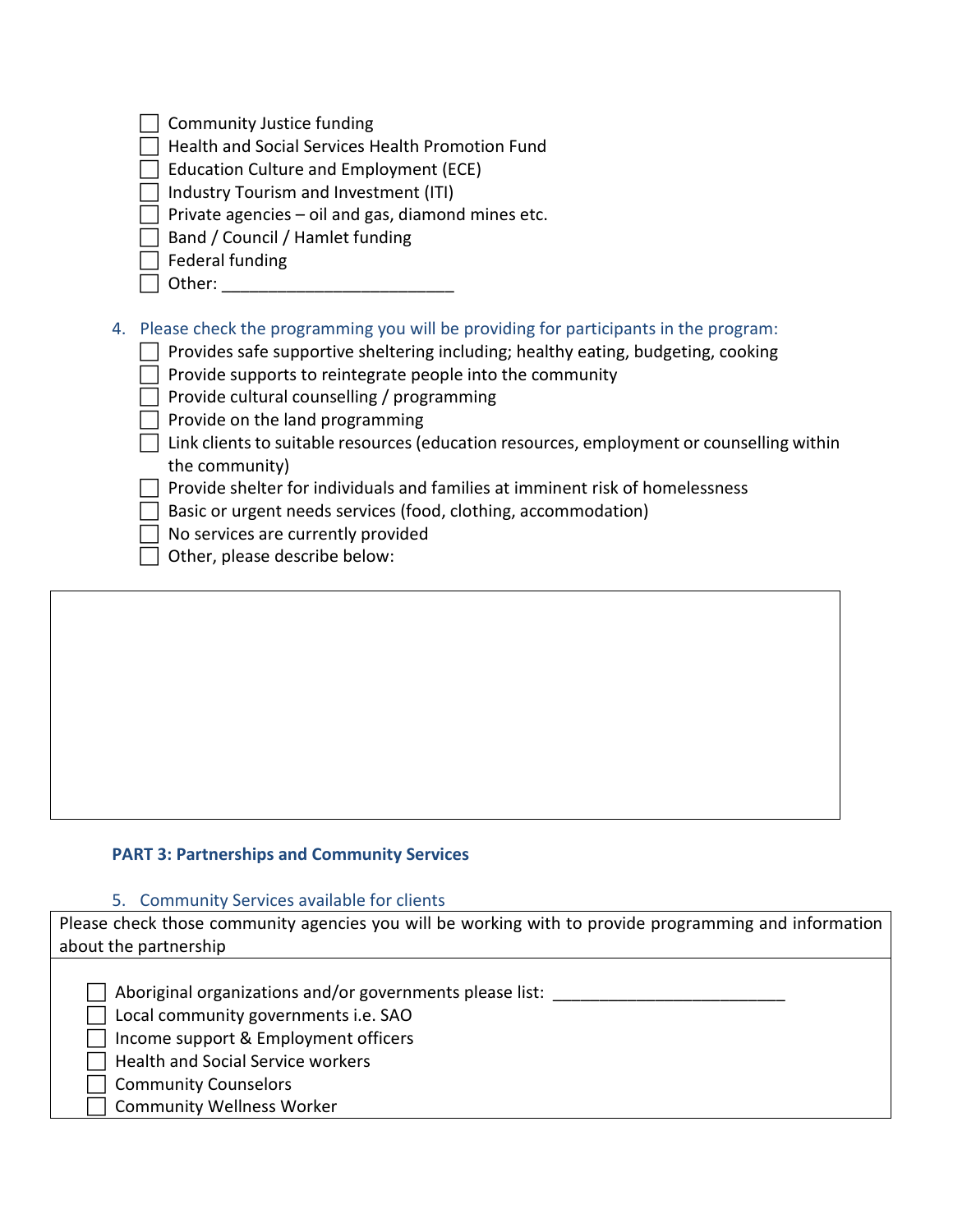| Community Justice funding                                                                                                                                                                                                                                                                                                                                                                                                                                                                                                                                                                                                                                          |
|--------------------------------------------------------------------------------------------------------------------------------------------------------------------------------------------------------------------------------------------------------------------------------------------------------------------------------------------------------------------------------------------------------------------------------------------------------------------------------------------------------------------------------------------------------------------------------------------------------------------------------------------------------------------|
| Health and Social Services Health Promotion Fund                                                                                                                                                                                                                                                                                                                                                                                                                                                                                                                                                                                                                   |
| Education Culture and Employment (ECE)                                                                                                                                                                                                                                                                                                                                                                                                                                                                                                                                                                                                                             |
| Industry Tourism and Investment (ITI)                                                                                                                                                                                                                                                                                                                                                                                                                                                                                                                                                                                                                              |
| Private agencies – oil and gas, diamond mines etc.                                                                                                                                                                                                                                                                                                                                                                                                                                                                                                                                                                                                                 |
| Band / Council / Hamlet funding                                                                                                                                                                                                                                                                                                                                                                                                                                                                                                                                                                                                                                    |
| Federal funding                                                                                                                                                                                                                                                                                                                                                                                                                                                                                                                                                                                                                                                    |
| Other:                                                                                                                                                                                                                                                                                                                                                                                                                                                                                                                                                                                                                                                             |
| 4. Please check the programming you will be providing for participants in the program:<br>Provides safe supportive sheltering including; healthy eating, budgeting, cooking<br>Provide supports to reintegrate people into the community<br>Provide cultural counselling / programming<br>Provide on the land programming<br>Link clients to suitable resources (education resources, employment or counselling within<br>the community)<br>Provide shelter for individuals and families at imminent risk of homelessness<br>Basic or urgent needs services (food, clothing, accommodation)<br>No services are currently provided<br>Other, please describe below: |

# **PART 3: Partnerships and Community Services**

#### 5. Community Services available for clients

| Please check those community agencies you will be working with to provide programming and information |
|-------------------------------------------------------------------------------------------------------|
| about the partnership                                                                                 |
|                                                                                                       |
| Aboriginal organizations and/or governments please list:                                              |
| Local community governments i.e. SAO                                                                  |
| Income support & Employment officers                                                                  |
| <b>Health and Social Service workers</b>                                                              |
| <b>Community Counselors</b>                                                                           |
| <b>Community Wellness Worker</b>                                                                      |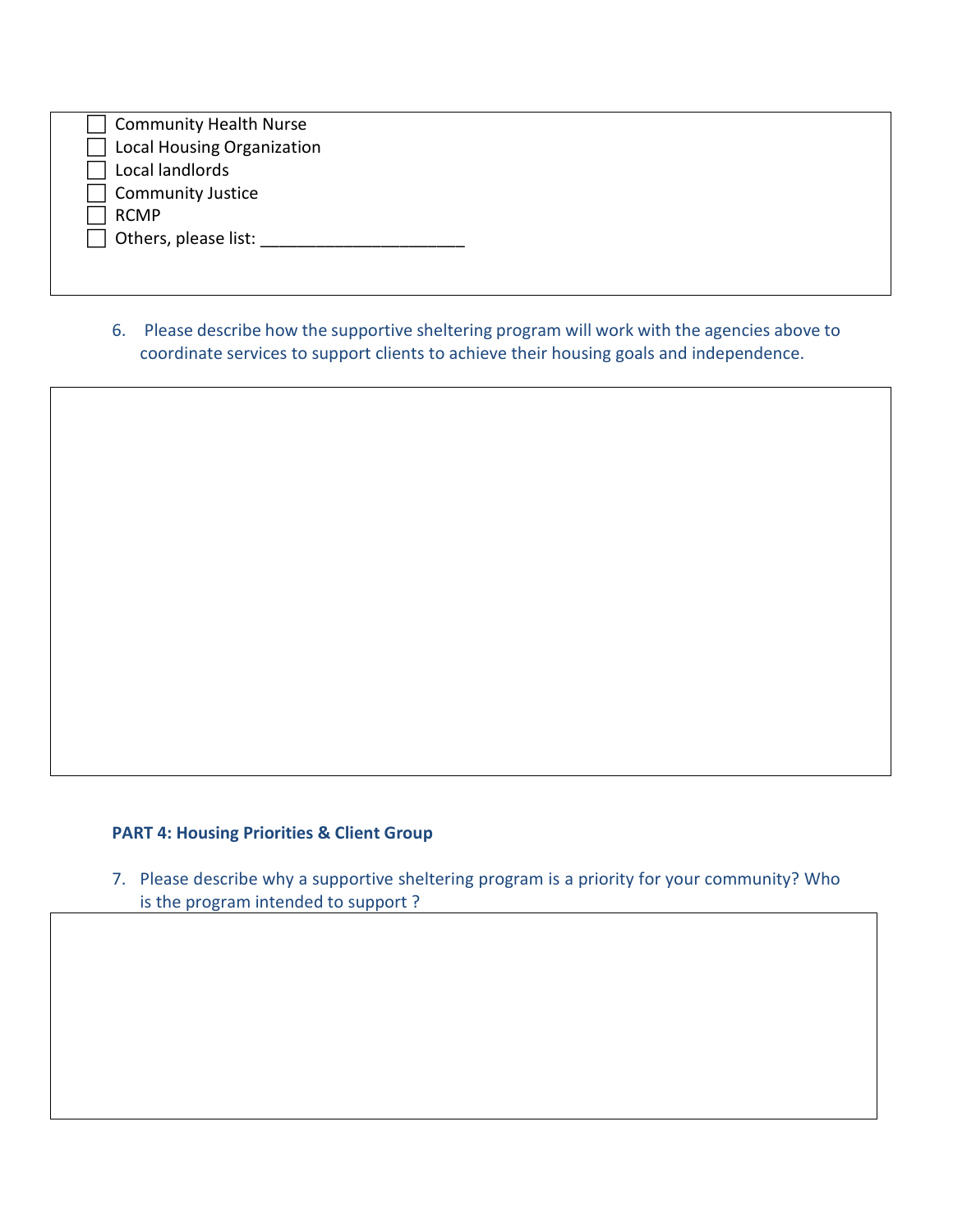| <b>Community Health Nurse</b> |  |
|-------------------------------|--|
| Local Housing Organization    |  |
| Local landlords               |  |
| <b>Community Justice</b>      |  |
| <b>RCMP</b>                   |  |
| $\Box$ Others, please list:   |  |
|                               |  |
|                               |  |

6. Please describe how the supportive sheltering program will work with the agencies above to coordinate services to support clients to achieve their housing goals and independence.

### **PART 4: Housing Priorities & Client Group**

7. Please describe why a supportive sheltering program is a priority for your community? Who is the program intended to support ?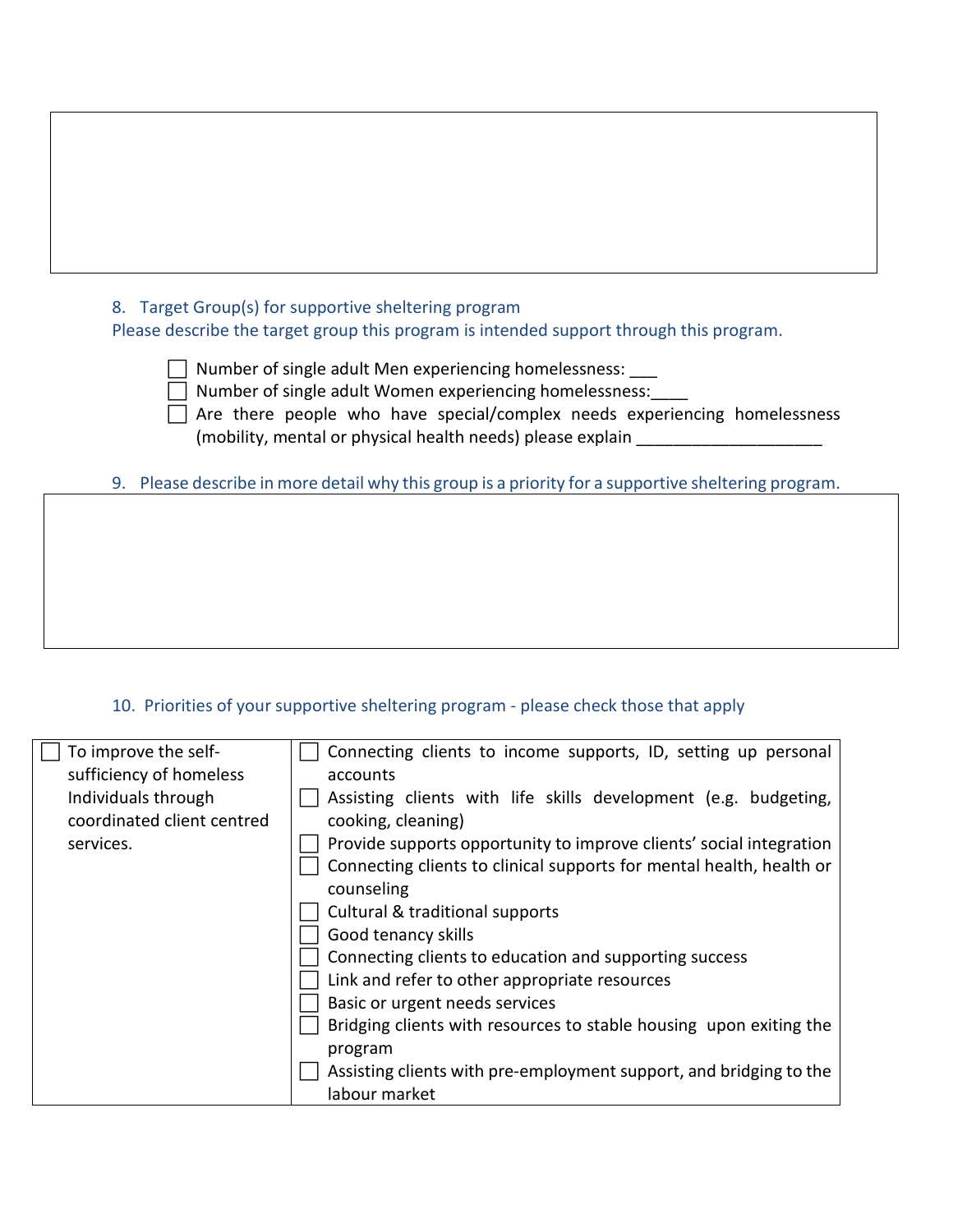# 8. Target Group(s) for supportive sheltering program

Please describe the target group this program is intended support through this program.

 Number of single adult Men experiencing homelessness: \_\_\_ Number of single adult Women experiencing homelessness:

 Are there people who have special/complex needs experiencing homelessness (mobility, mental or physical health needs) please explain

9. Please describe in more detail why this group is a priority for a supportive sheltering program.

### 10. Priorities of your supportive sheltering program - please check those that apply

| To improve the self-       | Connecting clients to income supports, ID, setting up personal       |
|----------------------------|----------------------------------------------------------------------|
| sufficiency of homeless    | accounts                                                             |
| Individuals through        | Assisting clients with life skills development (e.g. budgeting,      |
| coordinated client centred | cooking, cleaning)                                                   |
| services.                  | Provide supports opportunity to improve clients' social integration  |
|                            | Connecting clients to clinical supports for mental health, health or |
|                            | counseling                                                           |
|                            | Cultural & traditional supports                                      |
|                            | Good tenancy skills                                                  |
|                            | Connecting clients to education and supporting success               |
|                            | Link and refer to other appropriate resources                        |
|                            | Basic or urgent needs services                                       |
|                            | Bridging clients with resources to stable housing upon exiting the   |
|                            | program                                                              |
|                            | Assisting clients with pre-employment support, and bridging to the   |
|                            | labour market                                                        |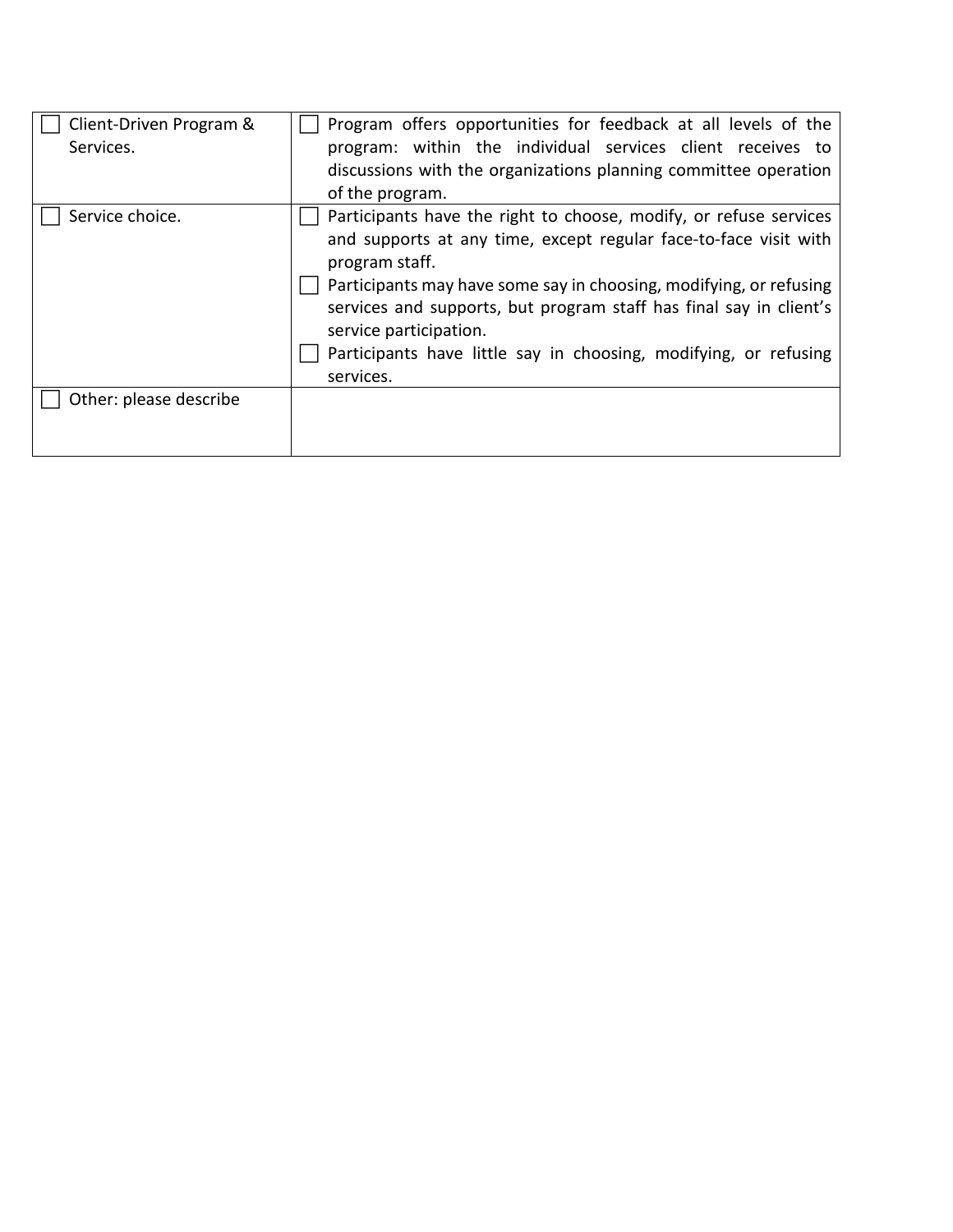| Client-Driven Program &<br>Services. | Program offers opportunities for feedback at all levels of the<br>program: within the individual services client receives to<br>discussions with the organizations planning committee operation<br>of the program.                                                                                                                                                                                             |
|--------------------------------------|----------------------------------------------------------------------------------------------------------------------------------------------------------------------------------------------------------------------------------------------------------------------------------------------------------------------------------------------------------------------------------------------------------------|
| Service choice.                      | Participants have the right to choose, modify, or refuse services<br>and supports at any time, except regular face-to-face visit with<br>program staff.<br>Participants may have some say in choosing, modifying, or refusing<br>services and supports, but program staff has final say in client's<br>service participation.<br>Participants have little say in choosing, modifying, or refusing<br>services. |
| Other: please describe               |                                                                                                                                                                                                                                                                                                                                                                                                                |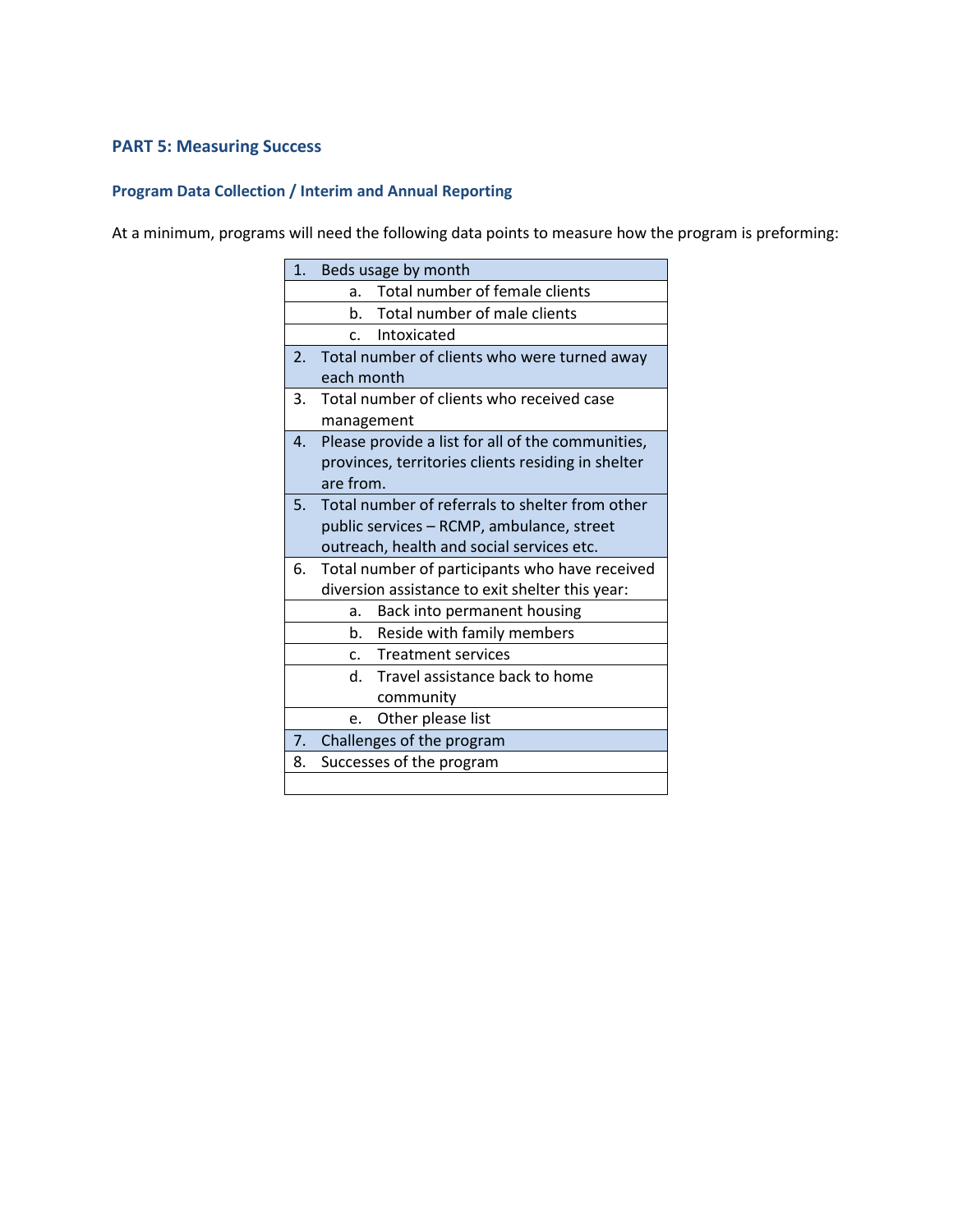#### **PART 5: Measuring Success**

### **Program Data Collection / Interim and Annual Reporting**

At a minimum, programs will need the following data points to measure how the program is preforming:

| 1 <sup>1</sup> | Beds usage by month                                |
|----------------|----------------------------------------------------|
|                | Total number of female clients<br>a.               |
|                | b. Total number of male clients                    |
|                | c. Intoxicated                                     |
| 2.             | Total number of clients who were turned away       |
|                | each month                                         |
| 3.             | Total number of clients who received case          |
|                | management                                         |
| 4.             | Please provide a list for all of the communities,  |
|                | provinces, territories clients residing in shelter |
|                | are from.                                          |
| 5.             | Total number of referrals to shelter from other    |
|                | public services - RCMP, ambulance, street          |
|                | outreach, health and social services etc.          |
| 6.             | Total number of participants who have received     |
|                | diversion assistance to exit shelter this year:    |
|                | Back into permanent housing<br>a.                  |
|                | Reside with family members<br>b.                   |
|                | c. Treatment services                              |
|                | d. Travel assistance back to home                  |
|                | community                                          |
|                | Other please list<br>e.                            |
| 7.             | Challenges of the program                          |
| 8.             | Successes of the program                           |
|                |                                                    |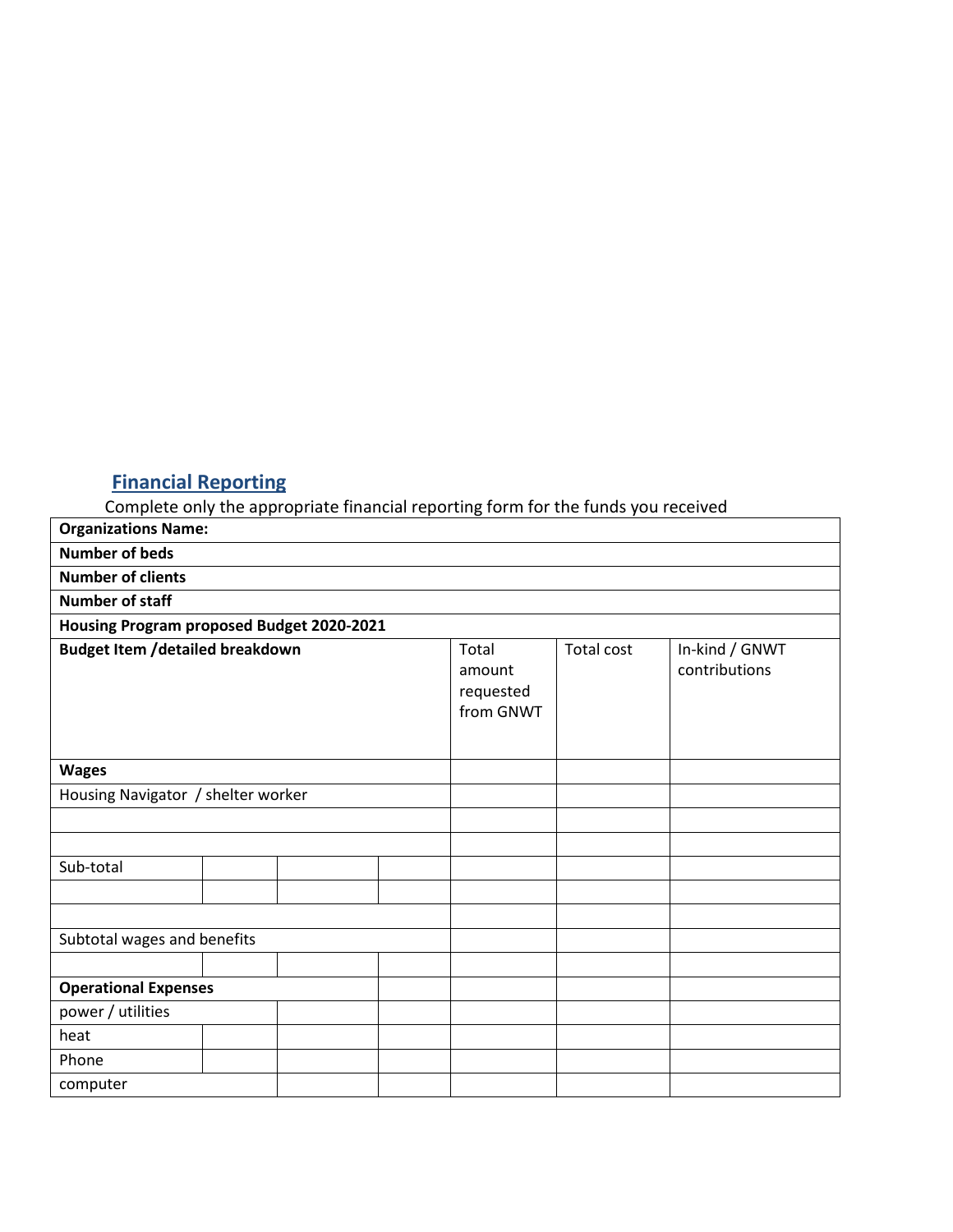# **Financial Reporting**

Complete only the appropriate financial reporting form for the funds you received

| <b>Organizations Name:</b>                |  |  |  |                                           |                   |                                 |  |
|-------------------------------------------|--|--|--|-------------------------------------------|-------------------|---------------------------------|--|
| <b>Number of beds</b>                     |  |  |  |                                           |                   |                                 |  |
| <b>Number of clients</b>                  |  |  |  |                                           |                   |                                 |  |
| <b>Number of staff</b>                    |  |  |  |                                           |                   |                                 |  |
| Housing Program proposed Budget 2020-2021 |  |  |  |                                           |                   |                                 |  |
| <b>Budget Item /detailed breakdown</b>    |  |  |  | Total<br>amount<br>requested<br>from GNWT | <b>Total cost</b> | In-kind / GNWT<br>contributions |  |
| <b>Wages</b>                              |  |  |  |                                           |                   |                                 |  |
| Housing Navigator / shelter worker        |  |  |  |                                           |                   |                                 |  |
|                                           |  |  |  |                                           |                   |                                 |  |
|                                           |  |  |  |                                           |                   |                                 |  |
| Sub-total                                 |  |  |  |                                           |                   |                                 |  |
|                                           |  |  |  |                                           |                   |                                 |  |
|                                           |  |  |  |                                           |                   |                                 |  |
| Subtotal wages and benefits               |  |  |  |                                           |                   |                                 |  |
|                                           |  |  |  |                                           |                   |                                 |  |
| <b>Operational Expenses</b>               |  |  |  |                                           |                   |                                 |  |
| power / utilities                         |  |  |  |                                           |                   |                                 |  |
| heat                                      |  |  |  |                                           |                   |                                 |  |
| Phone                                     |  |  |  |                                           |                   |                                 |  |
| computer                                  |  |  |  |                                           |                   |                                 |  |